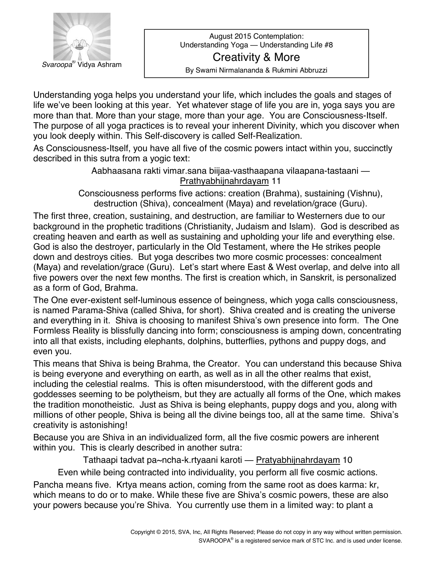

August 2015 Contemplation: Understanding Yoga - Understanding Life #8 Creativity & More By Swami Nirmalananda & Rukmini Abbruzzi

Understanding yoga helps you understand your life, which includes the goals and stages of life we've been looking at this year. Yet whatever stage of life you are in, yoga says you are more than that. More than your stage, more than your age. You are Consciousness-Itself. The purpose of all yoga practices is to reveal your inherent Divinity, which you discover when you look deeply within. This Self-discovery is called Self-Realization.

As Consciousness-Itself, you have all five of the cosmic powers intact within you, succinctly described in this sutra from a yogic text:

> Aabhaasana rakti vimar sana biijaa-vasthaapana vilaapana-tastaani — Prathyabhijnahrdayam 11

Consciousness performs five actions: creation (Brahma), sustaining (Vishnu), destruction (Shiva), concealment (Maya) and revelation/grace (Guru).

The first three, creation, sustaining, and destruction, are familiar to Westerners due to our background in the prophetic traditions (Christianity, Judaism and Islam). God is described as creating heaven and earth as well as sustaining and upholding your life and everything else. God is also the destroyer, particularly in the Old Testament, where the He strikes people down and destroys cities. But yoga describes two more cosmic processes: concealment (Maya) and revelation/grace (Guru). Let's start where East & West overlap, and delve into all five powers over the next few months. The first is creation which, in Sanskrit, is personalized as a form of God, Brahma.

The One ever-existent self-luminous essence of beingness, which yoga calls consciousness, is named Parama-Shiva (called Shiva, for short). Shiva created and is creating the universe and everything in it. Shiva is choosing to manifest Shivaís own presence into form. The One Formless Reality is blissfully dancing into form; consciousness is amping down, concentrating into all that exists, including elephants, dolphins, butterflies, pythons and puppy dogs, and even you.

This means that Shiva is being Brahma, the Creator. You can understand this because Shiva is being everyone and everything on earth, as well as in all the other realms that exist, including the celestial realms. This is often misunderstood, with the different gods and goddesses seeming to be polytheism, but they are actually all forms of the One, which makes the tradition monotheistic. Just as Shiva is being elephants, puppy dogs and you, along with millions of other people, Shiva is being all the divine beings too, all at the same time. Shivaís creativity is astonishing!

Because you are Shiva in an individualized form, all the five cosmic powers are inherent within you. This is clearly described in another sutra:

Tathaapi tadvat pa~ncha-k.rtyaani karoti — Pratyabhijnahrdayam 10

Even while being contracted into individuality, you perform all five cosmic actions.

Pancha means five. Krtya means action, coming from the same root as does karma: kr, which means to do or to make. While these five are Shiva's cosmic powers, these are also your powers because you're Shiva. You currently use them in a limited way: to plant a